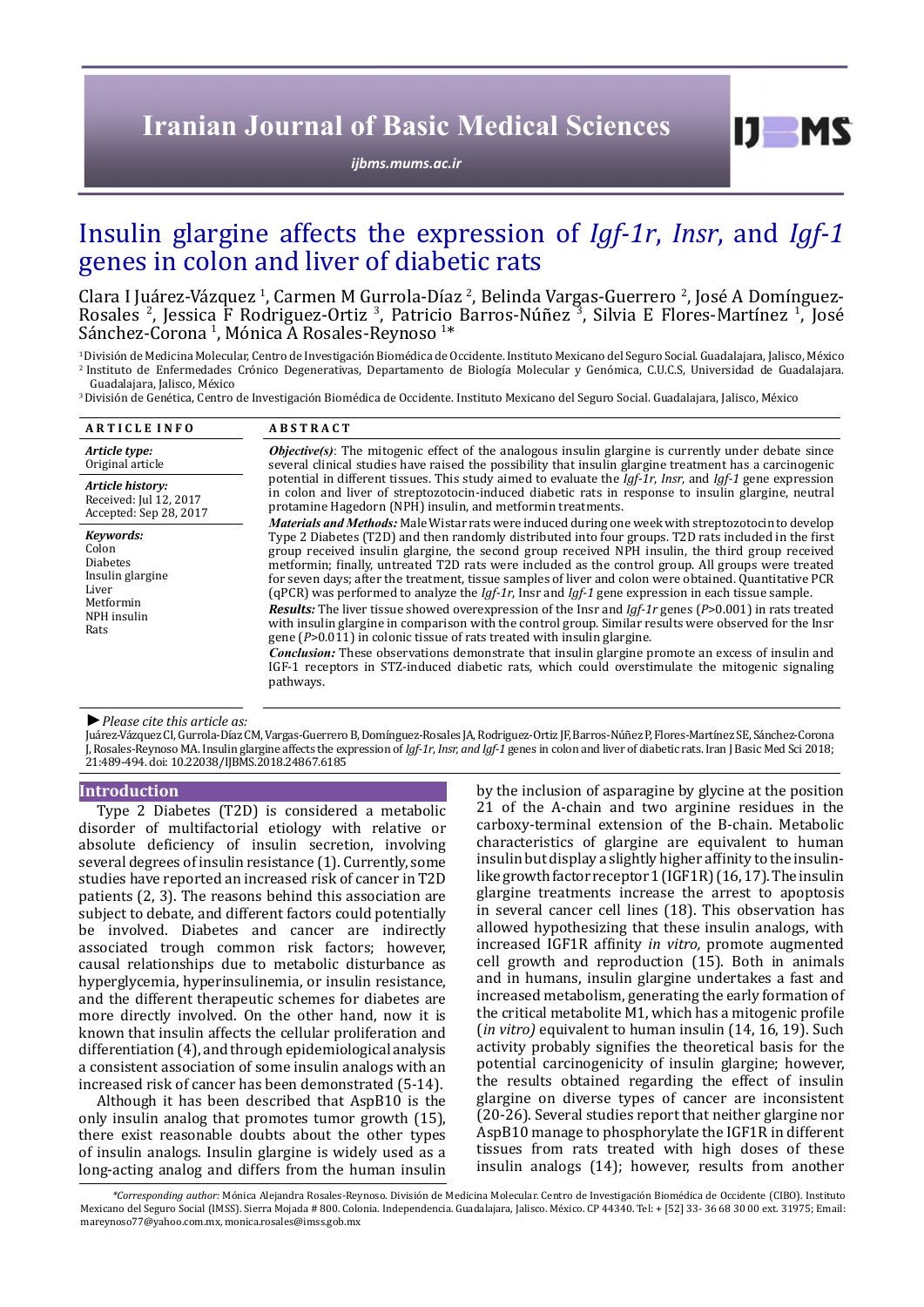# **Iranian Journal of Basic Medical Sciences**

*[ijbms.mums.ac.ir](http://ijbms.mums.ac.ir)*

# Insulin glargine affects the expression of *Igf-1r*, *Insr*, and *Igf-1* genes in colon and liver of diabetic rats

Clara I Juárez-Vázquez <sup>1</sup>, Carmen M Gurrola-Díaz <sup>2</sup>, Belinda Vargas-Guerrero <sup>2</sup>, José A Domínguez-Rosales <sup>2</sup>, Jessica F Rodriguez-Ortiz <sup>3</sup>, Patricio Barros-Núñez <sup>3</sup>, Silvia E Flores-Martínez <sup>1</sup>, José Sánchez-Corona <sup>1</sup>, Mónica A Rosales-Reynoso <sup>1</sup>

\* 1 División de Medicina Molecular, Centro de Investigación Biomédica de Occidente. Instituto Mexicano del Seguro Social. Guadalajara, Jalisco, México 2 Instituto de Enfermedades Crónico Degenerativas, Departamento de Biología Molecular y Genómica, C.U.C.S, Universidad de Guadalajara.

<sup>3</sup> División de Genética, Centro de Investigación Biomédica de Occidente. Instituto Mexicano del Seguro Social. Guadalajara, Jalisco, México

| <b>ARTICLE INFO</b>                                                                                    | <b>ABSTRACT</b>                                                                                                                                                                                                                                                                                                                                                                                                                                                                                                                                                                                                                                                                                                                                                                                                                                                                                                                                                                                                                                                                                                                                                                                                                                                                                                                                                                                                                                                                                                                                                                                                                                                                                                   |
|--------------------------------------------------------------------------------------------------------|-------------------------------------------------------------------------------------------------------------------------------------------------------------------------------------------------------------------------------------------------------------------------------------------------------------------------------------------------------------------------------------------------------------------------------------------------------------------------------------------------------------------------------------------------------------------------------------------------------------------------------------------------------------------------------------------------------------------------------------------------------------------------------------------------------------------------------------------------------------------------------------------------------------------------------------------------------------------------------------------------------------------------------------------------------------------------------------------------------------------------------------------------------------------------------------------------------------------------------------------------------------------------------------------------------------------------------------------------------------------------------------------------------------------------------------------------------------------------------------------------------------------------------------------------------------------------------------------------------------------------------------------------------------------------------------------------------------------|
| Article type:<br>Original article                                                                      | <b><i>Objective(s)</i></b> : The mitogenic effect of the analogous insulin glargine is currently under debate since<br>several clinical studies have raised the possibility that insulin glargine treatment has a carcinogenic<br>potential in different tissues. This study aimed to evaluate the $Igf-1r$ , Insr, and Igf-1 gene expression<br>in colon and liver of streptozotocin-induced diabetic rats in response to insulin glargine, neutral<br>protamine Hagedorn (NPH) insulin, and metformin treatments.<br>Materials and Methods: Male Wistar rats were induced during one week with streptozotocin to develop<br>Type 2 Diabetes (T2D) and then randomly distributed into four groups. T2D rats included in the first<br>group received insulin glargine, the second group received NPH insulin, the third group received<br>metformin; finally, untreated T2D rats were included as the control group. All groups were treated<br>for seven days; after the treatment, tissue samples of liver and colon were obtained. Quantitative PCR<br>(qPCR) was performed to analyze the <i>lgf-1r</i> , lnsr and <i>lgf-1</i> gene expression in each tissue sample.<br><b>Results:</b> The liver tissue showed overexpression of the Insr and $Iqf$ -1r genes (P>0.001) in rats treated<br>with insulin glargine in comparison with the control group. Similar results were observed for the Insr<br>gene $(P>0.011)$ in colonic tissue of rats treated with insulin glargine.<br><b>Conclusion:</b> These observations demonstrate that insulin glargine promote an excess of insulin and<br>IGF-1 receptors in STZ-induced diabetic rats, which could overstimulate the mitogenic signaling<br>pathways. |
| Article history:<br>Received: Jul 12, 2017<br>Accepted: Sep 28, 2017                                   |                                                                                                                                                                                                                                                                                                                                                                                                                                                                                                                                                                                                                                                                                                                                                                                                                                                                                                                                                                                                                                                                                                                                                                                                                                                                                                                                                                                                                                                                                                                                                                                                                                                                                                                   |
| Keywords:<br>Colon<br><b>Diabetes</b><br>Insulin glargine<br>Liver<br>Metformin<br>NPH insulin<br>Rats |                                                                                                                                                                                                                                                                                                                                                                                                                                                                                                                                                                                                                                                                                                                                                                                                                                                                                                                                                                                                                                                                                                                                                                                                                                                                                                                                                                                                                                                                                                                                                                                                                                                                                                                   |

#### *►Please cite this article as:*

Juárez-Vázquez CI, Gurrola-Díaz CM, Vargas-Guerrero B, Domínguez-Rosales JA, Rodriguez-Ortiz JF, Barros-Núñez P, Flores-Martínez SE, Sánchez-Corona J, Rosales-Reynoso MA. Insulin glargine affects the expression of *Igf-1r*, *Insr, and Igf-1* genes in colon and liver of diabetic rats. Iran J Basic Med Sci 2018; 21:489-494. doi: 10.22038/IJBMS.2018.24867.6185

### **Introduction**

Type 2 Diabetes (T2D) is considered a metabolic disorder of multifactorial etiology with relative or absolute deficiency of insulin secretion, involving several degrees of insulin resistance (1). Currently, some studies have reported an increased risk of cancer in T2D patients (2, 3). The reasons behind this association are subject to debate, and different factors could potentially be involved. Diabetes and cancer are indirectly associated trough common risk factors; however, causal relationships due to metabolic disturbance as hyperglycemia, hyperinsulinemia, or insulin resistance, and the different therapeutic schemes for diabetes are more directly involved. On the other hand, now it is known that insulin affects the cellular proliferation and differentiation (4), and through epidemiological analysis a consistent association of some insulin analogs with an increased risk of cancer has been demonstrated (5-14).

Although it has been described that AspB10 is the only insulin analog that promotes tumor growth (15), there exist reasonable doubts about the other types of insulin analogs. Insulin glargine is widely used as a long-acting analog and differs from the human insulin

by the inclusion of asparagine by glycine at the position 21 of the A-chain and two arginine residues in the carboxy-terminal extension of the B-chain. Metabolic characteristics of glargine are equivalent to human insulin but display a slightly higher affinity to the insulinlike growth factor receptor 1 (IGF1R) (16, 17). The insulin glargine treatments increase the arrest to apoptosis in several cancer cell lines (18). This observation has allowed hypothesizing that these insulin analogs, with increased IGF1R affinity *in vitro,* promote augmented cell growth and reproduction (15). Both in animals and in humans, insulin glargine undertakes a fast and increased metabolism, generating the early formation of the critical metabolite M1, which has a mitogenic profile (*in vitro)* equivalent to human insulin (14, 16, 19). Such activity probably signifies the theoretical basis for the potential carcinogenicity of insulin glargine; however, the results obtained regarding the effect of insulin glargine on diverse types of cancer are inconsistent (20-26). Several studies report that neither glargine nor AspB10 manage to phosphorylate the IGF1R in different tissues from rats treated with high doses of these insulin analogs (14); however, results from another

 $I$   $I$   $M$   $S$ 

 *<sup>\*</sup>Corresponding author:* Mónica Alejandra Rosales-Reynoso. División de Medicina Molecular. Centro de Investigación Biomédica de Occidente (CIBO). Instituto Mexicano del Seguro Social (IMSS). Sierra Mojada # 800. Colonia. Independencia. Guadalajara, Jalisco. México. CP 44340. Tel: + [52] 33- 36 68 30 00 ext. 31975; Email: mareynoso77@yahoo.com.mx, monica.rosales@imss.gob.mx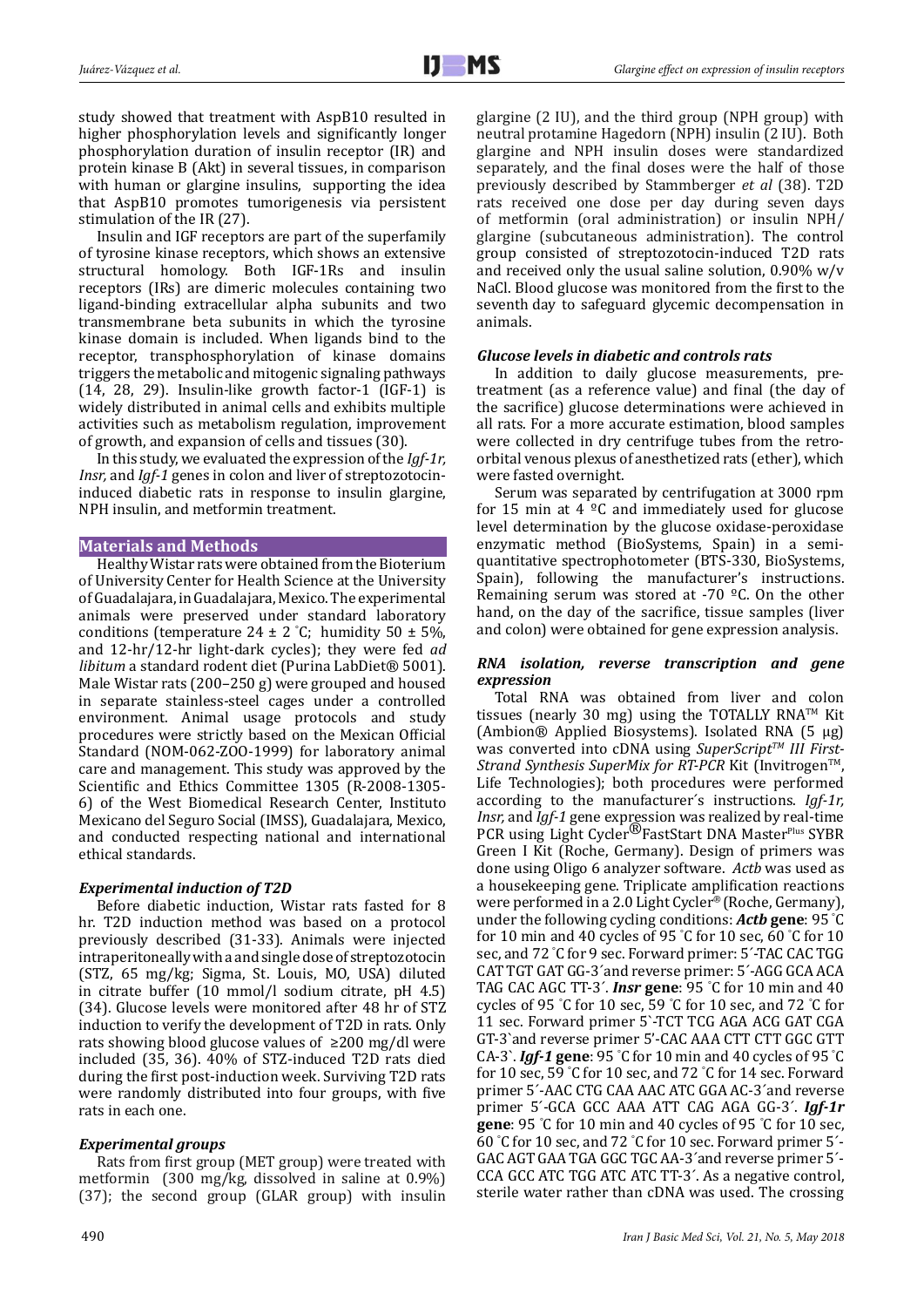study showed that treatment with AspB10 resulted in higher phosphorylation levels and significantly longer phosphorylation duration of insulin receptor (IR) and protein kinase B (Akt) in several tissues, in comparison with human or glargine insulins, supporting the idea that AspB10 promotes tumorigenesis via persistent stimulation of the IR (27).

Insulin and IGF receptors are part of the superfamily of tyrosine kinase receptors, which shows an extensive structural homology. Both IGF-1Rs and insulin receptors (IRs) are dimeric molecules containing two ligand-binding extracellular alpha subunits and two transmembrane beta subunits in which the tyrosine kinase domain is included. When ligands bind to the receptor, transphosphorylation of kinase domains triggers the metabolic and mitogenic signaling pathways (14, 28, 29). Insulin-like growth factor-1 (IGF-1) is widely distributed in animal cells and exhibits multiple activities such as metabolism regulation, improvement of growth, and expansion of cells and tissues (30).

In this study, we evaluated the expression of the *Igf-1r, Insr,* and *Igf-1* genes in colon and liver of streptozotocininduced diabetic rats in response to insulin glargine, NPH insulin, and metformin treatment.

# **Materials and Methods**

Healthy Wistar rats were obtained from the Bioterium of University Center for Health Science at the University of Guadalajara, in Guadalajara, Mexico. The experimental animals were preserved under standard laboratory conditions (temperature  $24 \pm 2$  °C; humidity  $50 \pm 5\%$ , and 12-hr/12-hr light-dark cycles); they were fed *ad libitum* a standard rodent diet (Purina LabDiet® 5001). Male Wistar rats (200–250 g) were grouped and housed in separate stainless-steel cages under a controlled environment. Animal usage protocols and study procedures were strictly based on the Mexican Official Standard (NOM-062-ZOO-1999) for laboratory animal care and management. This study was approved by the Scientific and Ethics Committee 1305 (R-2008-1305- 6) of the West Biomedical Research Center, Instituto Mexicano del Seguro Social (IMSS), Guadalajara, Mexico, and conducted respecting national and international ethical standards.

# *Experimental induction of T2D*

Before diabetic induction, Wistar rats fasted for 8 hr. T2D induction method was based on a protocol previously described (31-33). Animals were injected intraperitoneally with a and single dose of streptozotocin (STZ, 65 mg/kg; Sigma, St. Louis, MO, USA) diluted in citrate buffer (10 mmol/l sodium citrate, pH 4.5) (34). Glucose levels were monitored after 48 hr of STZ induction to verify the development of T2D in rats. Only rats showing blood glucose values of ≥200 mg/dl were included (35, 36). 40% of STZ-induced T2D rats died during the first post-induction week. Surviving T2D rats were randomly distributed into four groups, with five rats in each one.

# *Experimental groups*

Rats from first group (MET group) were treated with metformin (300 mg/kg, dissolved in saline at 0.9%) (37); the second group (GLAR group) with insulin glargine (2 IU), and the third group (NPH group) with neutral protamine Hagedorn (NPH) insulin (2 IU). Both glargine and NPH insulin doses were standardized separately, and the final doses were the half of those previously described by Stammberger *et al* (38). T2D rats received one dose per day during seven days of metformin (oral administration) or insulin NPH/ glargine (subcutaneous administration). The control group consisted of streptozotocin-induced T2D rats and received only the usual saline solution, 0.90% w/v NaCl. Blood glucose was monitored from the firstto the seventh day to safeguard glycemic decompensation in animals.

## *Glucose levels in diabetic and controls rats*

In addition to daily glucose measurements, pretreatment (as a reference value) and final (the day of the sacrifice) glucose determinations were achieved in all rats. For a more accurate estimation, blood samples were collected in dry centrifuge tubes from the retroorbital venous plexus of anesthetized rats (ether), which were fasted overnight.

Serum was separated by centrifugation at 3000 rpm for 15 min at 4  $\degree$ C and immediately used for glucose level determination by the glucose oxidase-peroxidase enzymatic method (BioSystems, Spain) in a semiquantitative spectrophotometer (BTS-330, BioSystems, Spain), following the manufacturer's instructions. Remaining serum was stored at -70 ºC. On the other hand, on the day of the sacrifice, tissue samples (liver and colon) were obtained for gene expression analysis.

## *RNA isolation, reverse transcription and gene expression*

Total RNA was obtained from liver and colon tissues (nearly 30 mg) using the TOTALLY RNA<sup>TM</sup> Kit (Ambion® Applied Biosystems). Isolated RNA (5 μg) was converted into cDNA using *SuperScript<sup>TM</sup> III First-Strand Synthesis SuperMix for RT-PCR Kit* (Invitrogen™, Life Technologies); both procedures were performed according to the manufacturer´s instructions. *Igf-1r, Insr,* and *Igf-1* gene expression was realized by real-time PCR using Light Cycler<sup>®</sup>FastStart DNA MasterPlus SYBR Green I Kit (Roche, Germany). Design of primers was done using Oligo 6 analyzer software. *Actb* was used as a housekeeping gene. Triplicate amplification reactions were performed in a 2.0 Light Cycler® (Roche, Germany), under the following cycling conditions: *Actb* **gene**: 95 ° C for 10 min and 40 cycles of 95 ° C for 10 sec, 60 ° C for 10 sec, and 72 ° C for 9 sec. Forward primer: 5´-TAC CAC TGG CAT TGT GAT GG-3´and reverse primer: 5´-AGG GCA ACA TAG CAC AGC TT-3´. *Insr* **gene**: 95 ° C for 10 min and 40 cycles of 95 ° C for 10 sec, 59 ° C for 10 sec, and 72 ° C for 11 sec. Forward primer 5`-TCT TCG AGA ACG GAT CGA GT-3`and reverse primer 5'-CAC AAA CTT CTT GGC GTT CA-3`. *Igf-1* **gene**: 95 ° C for 10 min and 40 cycles of 95 ° C for 10 sec, 59 ° C for 10 sec, and 72 ° C for 14 sec. Forward primer 5´-AAC CTG CAA AAC ATC GGA AC-3´and reverse primer 5´-GCA GCC AAA ATT CAG AGA GG-3´. *Igf-1r*  **gene**: 95 ° C for 10 min and 40 cycles of 95 ° C for 10 sec, 60 ° C for 10 sec, and 72 ° C for 10 sec. Forward primer 5´- GAC AGT GAA TGA GGC TGC AA-3´and reverse primer 5´- CCA GCC ATC TGG ATC ATC TT-3´. As a negative control, sterile water rather than cDNA was used. The crossing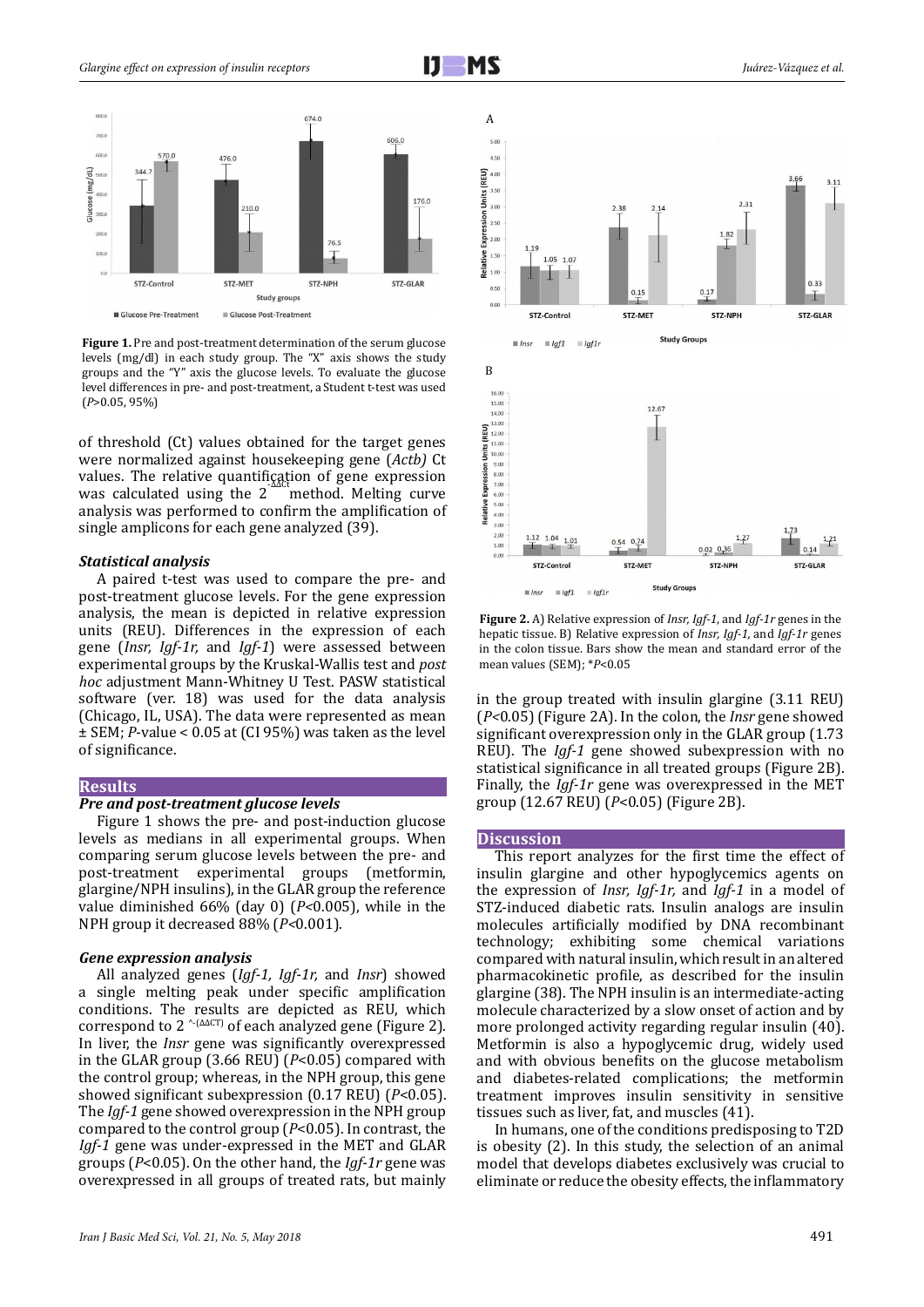

**Figure 1.** Pre and post-treatment determination of the serum glucose levels (mg/dl) in each study group. The "X" axis shows the study groups and the "Y" axis the glucose levels. To evaluate the glucose level differences in pre- and post-treatment, a Student t-test was used (*P*>0.05, 95%)

of threshold (Ct) values obtained for the target genes were normalized against housekeeping gene (*Actb)* Ct values. The relative quantification of gene expression was calculated using the  $2<sup>−</sup>$ method. Melting curve analysis was performed to confirm the amplification of single amplicons for each gene analyzed (39).

### *Statistical analysis*

A paired t-test was used to compare the pre- and post-treatment glucose levels. For the gene expression analysis, the mean is depicted in relative expression units (REU). Differences in the expression of each gene (*Insr, Igf-1r,* and *Igf-1*) were assessed between experimental groups by the Kruskal-Wallis test and *post hoc* adjustment Mann-Whitney U Test. PASW statistical software (ver. 18) was used for the data analysis (Chicago, IL, USA). The data were represented as mean ± SEM; *P*-value < 0.05 at (CI 95%) was taken as the level of significance.

#### **Results**

#### *Pre and post-treatment glucose levels*

Figure 1 shows the pre- and post-induction glucose levels as medians in all experimental groups. When comparing serum glucose levels between the pre- and post-treatment experimental groups (metformin, glargine/NPH insulins), in the GLAR group the reference value diminished 66% (day 0) (*P<*0.005), while in the NPH group it decreased 88% (*P<*0.001).

#### *Gene expression analysis*

All analyzed genes (*Igf-1, Igf-1r,* and *Insr*) showed a single melting peak under specific amplification conditions. The results are depicted as REU, which correspond to 2  $\text{``(AACT)}$  of each analyzed gene (Figure 2). In liver, the *Insr* gene was significantly overexpressed in the GLAR group (3.66 REU) (*P*<0.05) compared with the control group; whereas, in the NPH group, this gene showed significant subexpression (0.17 REU) (*P*<0.05). The *Igf-1* gene showed overexpression in the NPH group compared to the control group (*P*<0.05). In contrast, the *Igf-1* gene was under-expressed in the MET and GLAR groups (*P*<0.05). On the other hand, the *Igf-1r* gene was overexpressed in all groups of treated rats, but mainly





**Figure 2.** A) Relative expression of *Insr, Igf-1*, and *Igf-1r* genes in the hepatic tissue. B) Relative expression of *Insr, Igf-1,* and *Igf-1r* genes in the colon tissue. Bars show the mean and standard error of the mean values (SEM); \**P*<0.05

in the group treated with insulin glargine (3.11 REU) (*P<*0.05) (Figure 2A). In the colon, the *Insr* gene showed significant overexpression only in the GLAR group (1.73 REU). The *Igf-1* gene showed subexpression with no statistical significance in all treated groups (Figure 2B). Finally, the *Igf-1r* gene was overexpressed in the MET group (12.67 REU) (*P*<0.05) (Figure 2B).

#### **Discussion**

This report analyzes for the first time the effect of insulin glargine and other hypoglycemics agents on the expression of *Insr, Igf-1r,* and *Igf-1* in a model of STZ-induced diabetic rats. Insulin analogs are insulin molecules artificially modified by DNA recombinant technology; exhibiting some chemical variations compared with natural insulin, which result in an altered pharmacokinetic profile, as described for the insulin glargine (38). The NPH insulin is an intermediate-acting molecule characterized by a slow onset of action and by more prolonged activity regarding regular insulin (40). Metformin is also a hypoglycemic drug, widely used and with obvious benefits on the glucose metabolism and diabetes-related complications; the metformin treatment improves insulin sensitivity in sensitive tissues such as liver, fat, and muscles (41).

In humans, one of the conditions predisposing to T2D is obesity (2). In this study, the selection of an animal model that develops diabetes exclusively was crucial to eliminate or reduce the obesity effects, the inflammatory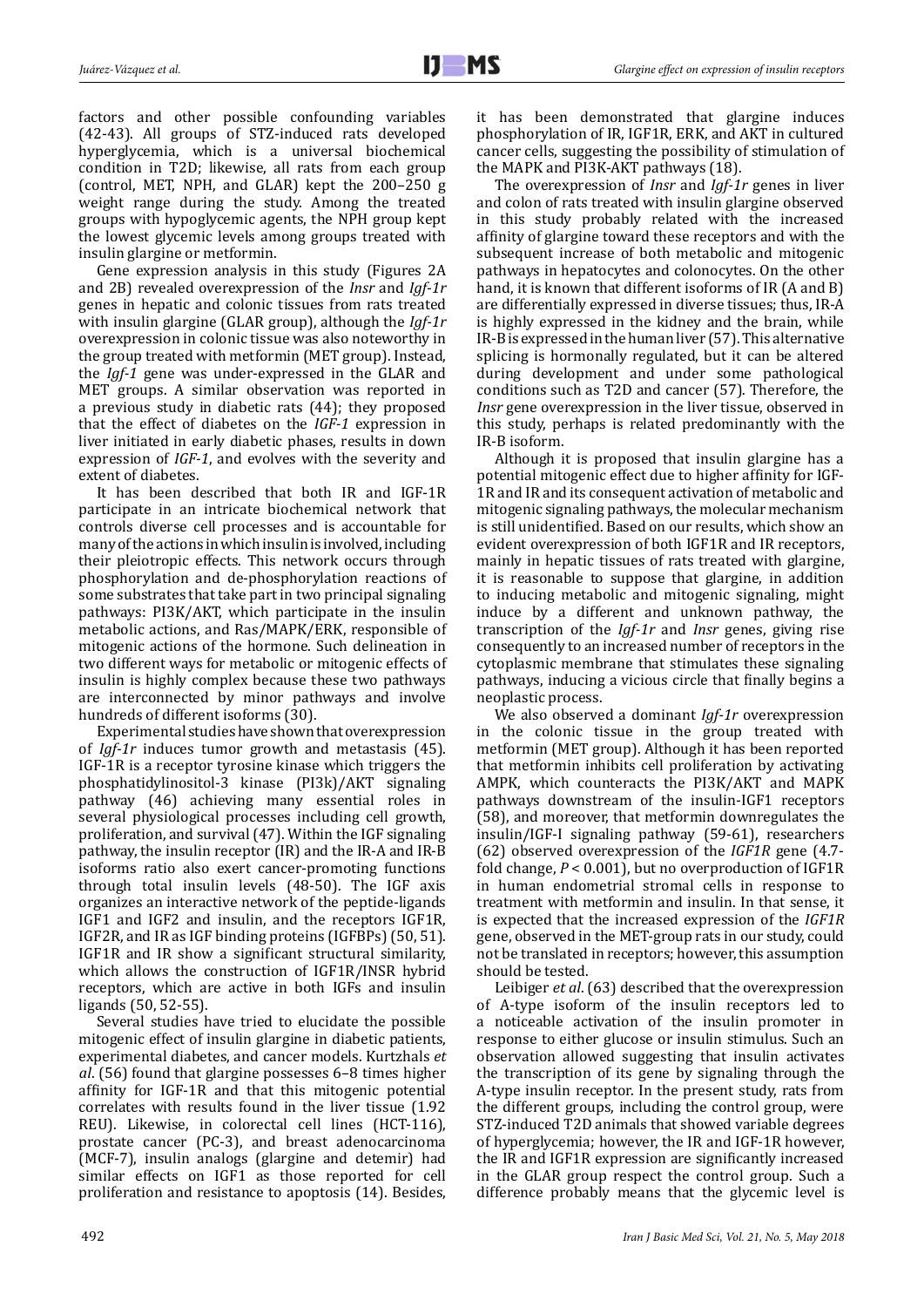factors and other possible confounding variables (42-43). All groups of STZ-induced rats developed hyperglycemia, which is a universal biochemical condition in T2D; likewise, all rats from each group (control, MET, NPH, and GLAR) kept the 200–250 g weight range during the study. Among the treated groups with hypoglycemic agents, the NPH group kept the lowest glycemic levels among groups treated with insulin glargine or metformin.

Gene expression analysis in this study (Figures 2A and 2B) revealed overexpression of the *Insr* and *Igf-1r*  genes in hepatic and colonic tissues from rats treated with insulin glargine (GLAR group), although the *Igf-1r* overexpression in colonic tissue was also noteworthy in the group treated with metformin (MET group). Instead, the *Igf-1* gene was under-expressed in the GLAR and MET groups. A similar observation was reported in a previous study in diabetic rats (44); they proposed that the effect of diabetes on the *IGF-1* expression in liver initiated in early diabetic phases, results in down expression of *IGF-1*, and evolves with the severity and extent of diabetes.

It has been described that both IR and IGF-1R participate in an intricate biochemical network that controls diverse cell processes and is accountable for many of the actions in which insulin is involved, including their pleiotropic effects. This network occurs through phosphorylation and de-phosphorylation reactions of some substrates that take part in two principal signaling pathways: PI3K/AKT, which participate in the insulin metabolic actions, and Ras/MAPK/ERK, responsible of mitogenic actions of the hormone. Such delineation in two different ways for metabolic or mitogenic effects of insulin is highly complex because these two pathways are interconnected by minor pathways and involve hundreds of different isoforms (30).

Experimental studies have shown that overexpression of *Igf-1r* induces tumor growth and metastasis (45). IGF-1R is a receptor tyrosine kinase which triggers the phosphatidylinositol-3 kinase (PI3k)/AKT signaling pathway (46) achieving many essential roles in several physiological processes including cell growth, proliferation, and survival (47). Within the IGF signaling pathway, the insulin receptor (IR) and the IR-A and IR-B isoforms ratio also exert cancer-promoting functions through total insulin levels (48-50). The IGF axis organizes an interactive network of the peptide-ligands IGF1 and IGF2 and insulin, and the receptors IGF1R, IGF2R, and IR as IGF binding proteins (IGFBPs) (50, 51). IGF1R and IR show a significant structural similarity, which allows the construction of IGF1R/INSR hybrid receptors, which are active in both IGFs and insulin ligands (50, 52-55).

Several studies have tried to elucidate the possible mitogenic effect of insulin glargine in diabetic patients, experimental diabetes, and cancer models. Kurtzhals *et al*. (56) found that glargine possesses 6–8 times higher affinity for IGF-1R and that this mitogenic potential correlates with results found in the liver tissue (1.92 REU). Likewise, in colorectal cell lines (HCT-116), prostate cancer (PC-3), and breast adenocarcinoma (MCF-7), insulin analogs (glargine and detemir) had similar effects on IGF1 as those reported for cell proliferation and resistance to apoptosis (14). Besides,

it has been demonstrated that glargine induces phosphorylation of IR, IGF1R, ERK, and AKT in cultured cancer cells, suggesting the possibility of stimulation of the MAPK and PI3K-AKT pathways (18).

The overexpression of *Insr* and *Igf-1r* genes in liver and colon of rats treated with insulin glargine observed in this study probably related with the increased affinity of glargine toward these receptors and with the subsequent increase of both metabolic and mitogenic pathways in hepatocytes and colonocytes. On the other hand, it is known that different isoforms of IR (A and B) are differentially expressed in diverse tissues; thus, IR-A is highly expressed in the kidney and the brain, while IR-B is expressed in the human liver (57). This alternative splicing is hormonally regulated, but it can be altered during development and under some pathological conditions such as T2D and cancer (57). Therefore, the *Insr* gene overexpression in the liver tissue, observed in this study, perhaps is related predominantly with the IR-B isoform.

Although it is proposed that insulin glargine has a potential mitogenic effect due to higher affinity for IGF-1R and IR and its consequent activation of metabolic and mitogenic signaling pathways, the molecular mechanism is still unidentified. Based on our results, which show an evident overexpression of both IGF1R and IR receptors, mainly in hepatic tissues of rats treated with glargine, it is reasonable to suppose that glargine, in addition to inducing metabolic and mitogenic signaling, might induce by a different and unknown pathway, the transcription of the *Igf-1r* and *Insr* genes, giving rise consequently to an increased number of receptors in the cytoplasmic membrane that stimulates these signaling pathways, inducing a vicious circle that finally begins a neoplastic process.

We also observed a dominant *Igf-1r* overexpression in the colonic tissue in the group treated with metformin (MET group). Although it has been reported that metformin inhibits cell proliferation by activating AMPK, which counteracts the PI3K/AKT and MAPK pathways downstream of the insulin-IGF1 receptors (58), and moreover, that metformin downregulates the insulin/IGF-I signaling pathway (59-61), researchers (62) observed overexpression of the *IGF1R* gene (4.7 fold change, *P* < 0.001), but no overproduction of IGF1R in human endometrial stromal cells in response to treatment with metformin and insulin. In that sense, it is expected that the increased expression of the *IGF1R* gene, observed in the MET-group rats in our study, could not be translated in receptors; however, this assumption should be tested.

Leibiger *et al*. (63) described that the overexpression of A-type isoform of the insulin receptors led to a noticeable activation of the insulin promoter in response to either glucose or insulin stimulus. Such an observation allowed suggesting that insulin activates the transcription of its gene by signaling through the A-type insulin receptor. In the present study, rats from the different groups, including the control group, were STZ-induced T2D animals that showed variable degrees of hyperglycemia; however, the IR and IGF-1R however, the IR and IGF1R expression are significantly increased in the GLAR group respect the control group. Such a difference probably means that the glycemic level is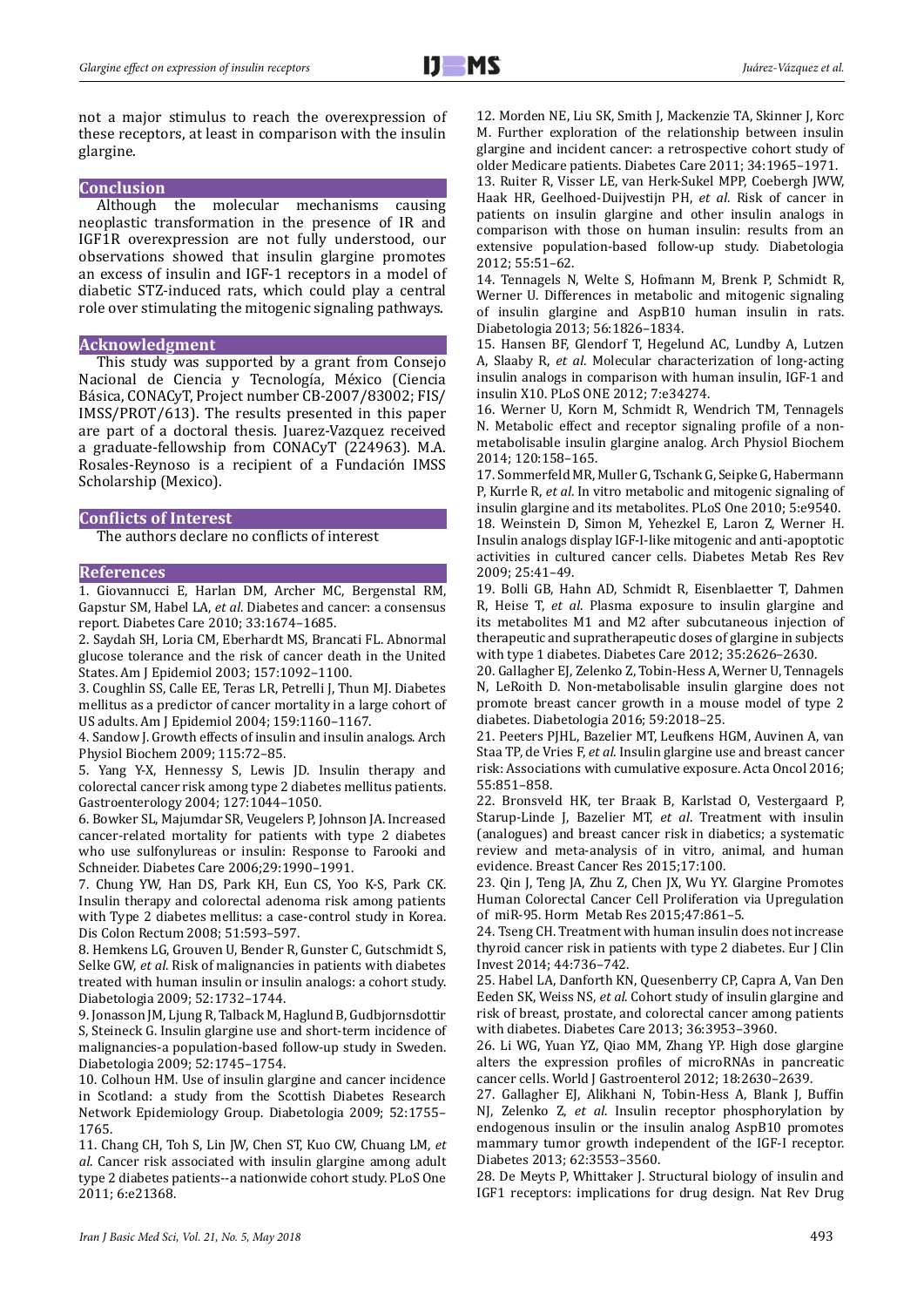not a major stimulus to reach the overexpression of these receptors, at least in comparison with the insulin glargine.

## **Conclusion**

Although the molecular mechanisms causing neoplastic transformation in the presence of IR and IGF1R overexpression are not fully understood, our observations showed that insulin glargine promotes an excess of insulin and IGF-1 receptors in a model of diabetic STZ-induced rats, which could play a central role over stimulating the mitogenic signaling pathways.

#### **Acknowledgment**

This study was supported by a grant from Consejo Nacional de Ciencia y Tecnología, México (Ciencia Básica, CONACyT, Project number CB-2007/83002; FIS/ IMSS/PROT/613). The results presented in this paper are part of a doctoral thesis. Juarez-Vazquez received a graduate-fellowship from CONACyT (224963). M.A. Rosales-Reynoso is a recipient of a Fundación IMSS Scholarship (Mexico).

## **Conflicts of Interest**

The authors declare no conflicts of interest

## **References**

1. Giovannucci E, Harlan DM, Archer MC, Bergenstal RM, Gapstur SM, Habel LA, *et al*. Diabetes and cancer: a consensus report. Diabetes Care 2010; 33:1674–1685.

2. Saydah SH, Loria CM, Eberhardt MS, Brancati FL. Abnormal glucose tolerance and the risk of cancer death in the United States. Am J Epidemiol 2003; 157:1092–1100.

3. Coughlin SS, Calle EE, Teras LR, Petrelli J, Thun MJ. Diabetes mellitus as a predictor of cancer mortality in a large cohort of US adults. Am J Epidemiol 2004; 159:1160–1167.

4. Sandow J. Growth effects of insulin and insulin analogs. Arch Physiol Biochem 2009; 115:72–85.

5. Yang Y-X, Hennessy S, Lewis JD. Insulin therapy and colorectal cancer risk among type 2 diabetes mellitus patients. Gastroenterology 2004; 127:1044–1050.

6. Bowker SL, Majumdar SR, Veugelers P, Johnson JA. Increased cancer-related mortality for patients with type 2 diabetes who use sulfonylureas or insulin: Response to Farooki and Schneider. Diabetes Care 2006;29:1990–1991.

7. Chung YW, Han DS, Park KH, Eun CS, Yoo K-S, Park CK. Insulin therapy and colorectal adenoma risk among patients with Type 2 diabetes mellitus: a case-control study in Korea. Dis Colon Rectum 2008; 51:593–597.

8. Hemkens LG, Grouven U, Bender R, Gunster C, Gutschmidt S, Selke GW, *et al*. Risk of malignancies in patients with diabetes treated with human insulin or insulin analogs: a cohort study. Diabetologia 2009; 52:1732–1744.

9. Jonasson JM, Ljung R, Talback M, Haglund B, Gudbjornsdottir S, Steineck G. Insulin glargine use and short-term incidence of malignancies-a population-based follow-up study in Sweden. Diabetologia 2009; 52:1745–1754.

10. Colhoun HM. Use of insulin glargine and cancer incidence in Scotland: a study from the Scottish Diabetes Research Network Epidemiology Group. Diabetologia 2009; 52:1755– 1765.

11. Chang CH, Toh S, Lin JW, Chen ST, Kuo CW, Chuang LM, *et al*. Cancer risk associated with insulin glargine among adult type 2 diabetes patients--a nationwide cohort study. PLoS One 2011; 6:e21368.

12. Morden NE, Liu SK, Smith J, Mackenzie TA, Skinner J, Korc M. Further exploration of the relationship between insulin glargine and incident cancer: a retrospective cohort study of older Medicare patients. Diabetes Care 2011; 34:1965–1971.

13. Ruiter R, Visser LE, van Herk-Sukel MPP, Coebergh JWW, Haak HR, Geelhoed-Duijvestijn PH, *et al*. Risk of cancer in patients on insulin glargine and other insulin analogs in comparison with those on human insulin: results from an extensive population-based follow-up study. Diabetologia 2012; 55:51–62.

14. Tennagels N, Welte S, Hofmann M, Brenk P, Schmidt R, Werner U. Differences in metabolic and mitogenic signaling of insulin glargine and AspB10 human insulin in rats. Diabetologia 2013; 56:1826–1834.

15. Hansen BF, Glendorf T, Hegelund AC, Lundby A, Lutzen A, Slaaby R, *et al*. Molecular characterization of long-acting insulin analogs in comparison with human insulin, IGF-1 and insulin X10. PLoS ONE 2012; 7:e34274.

16. Werner U, Korn M, Schmidt R, Wendrich TM, Tennagels N. Metabolic effect and receptor signaling profile of a nonmetabolisable insulin glargine analog. Arch Physiol Biochem 2014; 120:158–165.

17. Sommerfeld MR, Muller G, Tschank G, Seipke G, Habermann P, Kurrle R, *et al*. In vitro metabolic and mitogenic signaling of insulin glargine and its metabolites. PLoS One 2010; 5:e9540. 18. Weinstein D, Simon M, Yehezkel E, Laron Z, Werner H. Insulin analogs display IGF-I-like mitogenic and anti-apoptotic activities in cultured cancer cells. Diabetes Metab Res Rev 2009; 25:41–49.

19. Bolli GB, Hahn AD, Schmidt R, Eisenblaetter T, Dahmen R, Heise T, *et al*. Plasma exposure to insulin glargine and its metabolites M1 and M2 after subcutaneous injection of therapeutic and supratherapeutic doses of glargine in subjects with type 1 diabetes. Diabetes Care 2012; 35:2626–2630.

20. Gallagher EJ, Zelenko Z, Tobin-Hess A, Werner U, Tennagels N, LeRoith D. Non-metabolisable insulin glargine does not promote breast cancer growth in a mouse model of type 2 diabetes. Diabetologia 2016; 59:2018–25.

21. Peeters PJHL, Bazelier MT, Leufkens HGM, Auvinen A, van Staa TP, de Vries F, *et al*. Insulin glargine use and breast cancer risk: Associations with cumulative exposure. Acta Oncol 2016; 55:851–858.

22. Bronsveld HK, ter Braak B, Karlstad O, Vestergaard P, Starup-Linde J, Bazelier MT, *et al*. Treatment with insulin (analogues) and breast cancer risk in diabetics; a systematic review and meta-analysis of in vitro, animal, and human evidence. Breast Cancer Res 2015;17:100.

23. Qin J, Teng JA, Zhu Z, Chen JX, Wu YY. Glargine Promotes Human Colorectal Cancer Cell Proliferation via Upregulation of miR-95. Horm Metab Res 2015;47:861–5.

24. Tseng CH. Treatment with human insulin does not increase thyroid cancer risk in patients with type 2 diabetes. Eur J Clin Invest 2014; 44:736–742.

25. Habel LA, Danforth KN, Quesenberry CP, Capra A, Van Den Eeden SK, Weiss NS, *et al*. Cohort study of insulin glargine and risk of breast, prostate, and colorectal cancer among patients with diabetes. Diabetes Care 2013; 36:3953–3960.

26. Li WG, Yuan YZ, Qiao MM, Zhang YP. High dose glargine alters the expression profiles of microRNAs in pancreatic cancer cells. World J Gastroenterol 2012; 18:2630–2639.

27. Gallagher EJ, Alikhani N, Tobin-Hess A, Blank J, Buffin NJ, Zelenko Z, *et al*. Insulin receptor phosphorylation by endogenous insulin or the insulin analog AspB10 promotes mammary tumor growth independent of the IGF-I receptor. Diabetes 2013; 62:3553–3560.

28. De Meyts P, Whittaker J. Structural biology of insulin and IGF1 receptors: implications for drug design. Nat Rev Drug